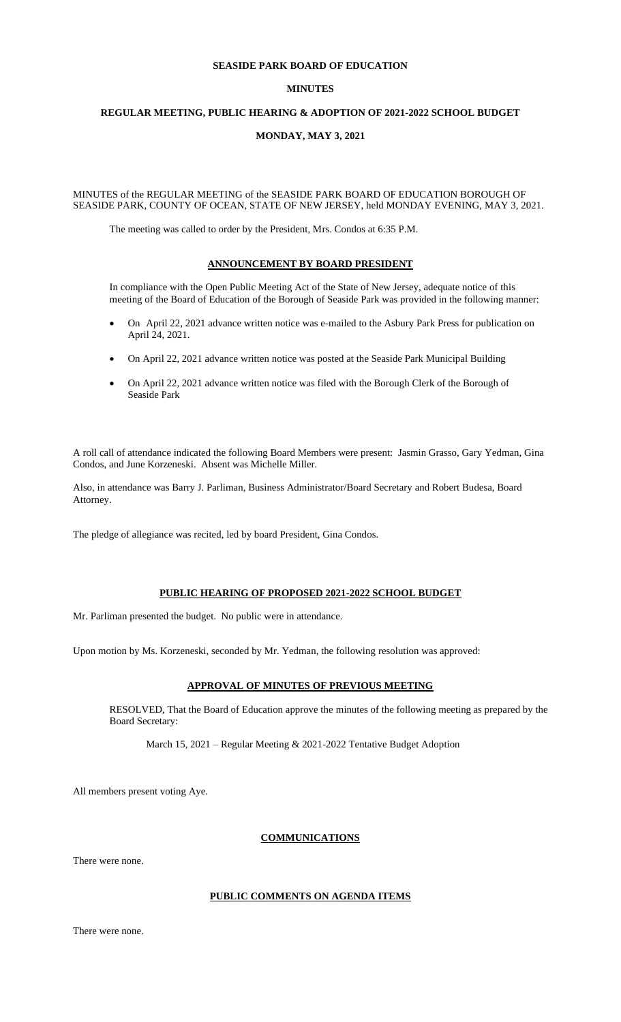## **SEASIDE PARK BOARD OF EDUCATION**

## **MINUTES**

## **REGULAR MEETING, PUBLIC HEARING & ADOPTION OF 2021-2022 SCHOOL BUDGET**

## **MONDAY, MAY 3, 2021**

## MINUTES of the REGULAR MEETING of the SEASIDE PARK BOARD OF EDUCATION BOROUGH OF SEASIDE PARK, COUNTY OF OCEAN, STATE OF NEW JERSEY, held MONDAY EVENING, MAY 3, 2021.

The meeting was called to order by the President, Mrs. Condos at 6:35 P.M.

## **ANNOUNCEMENT BY BOARD PRESIDENT**

In compliance with the Open Public Meeting Act of the State of New Jersey, adequate notice of this meeting of the Board of Education of the Borough of Seaside Park was provided in the following manner:

- On April 22, 2021 advance written notice was e-mailed to the Asbury Park Press for publication on April 24, 2021.
- On April 22, 2021 advance written notice was posted at the Seaside Park Municipal Building
- On April 22, 2021 advance written notice was filed with the Borough Clerk of the Borough of Seaside Park

A roll call of attendance indicated the following Board Members were present: Jasmin Grasso, Gary Yedman, Gina Condos, and June Korzeneski. Absent was Michelle Miller.

Also, in attendance was Barry J. Parliman, Business Administrator/Board Secretary and Robert Budesa, Board Attorney.

The pledge of allegiance was recited, led by board President, Gina Condos.

## **PUBLIC HEARING OF PROPOSED 2021-2022 SCHOOL BUDGET**

Mr. Parliman presented the budget. No public were in attendance.

Upon motion by Ms. Korzeneski, seconded by Mr. Yedman, the following resolution was approved:

## **APPROVAL OF MINUTES OF PREVIOUS MEETING**

RESOLVED, That the Board of Education approve the minutes of the following meeting as prepared by the Board Secretary:

March 15, 2021 – Regular Meeting & 2021-2022 Tentative Budget Adoption

All members present voting Aye.

## **COMMUNICATIONS**

There were none.

## **PUBLIC COMMENTS ON AGENDA ITEMS**

There were none.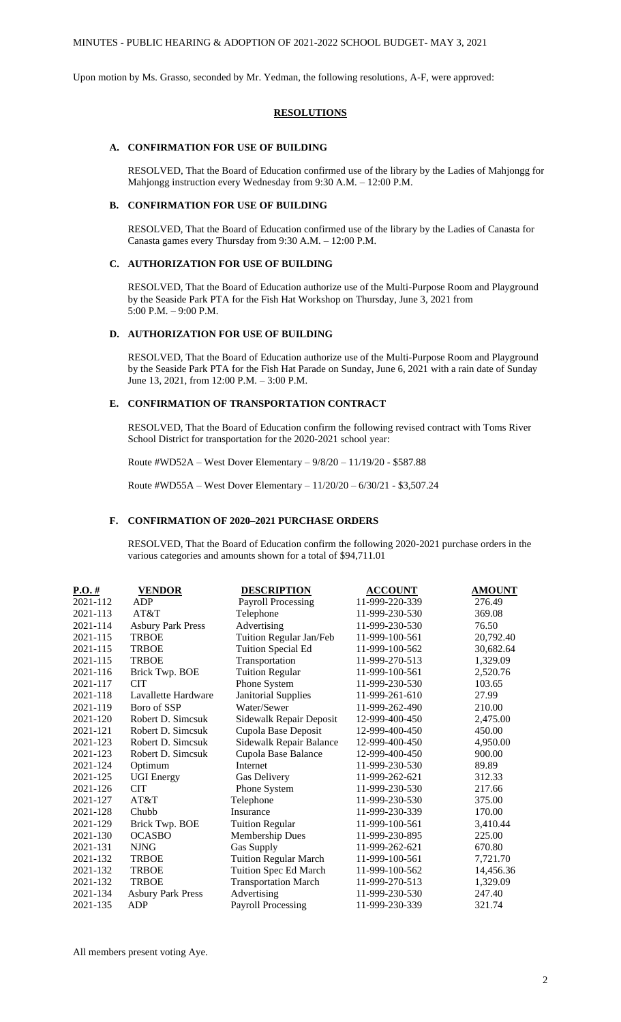Upon motion by Ms. Grasso, seconded by Mr. Yedman, the following resolutions, A-F, were approved:

## **RESOLUTIONS**

## **A. CONFIRMATION FOR USE OF BUILDING**

RESOLVED, That the Board of Education confirmed use of the library by the Ladies of Mahjongg for Mahjongg instruction every Wednesday from 9:30 A.M. – 12:00 P.M.

## **B. CONFIRMATION FOR USE OF BUILDING**

RESOLVED, That the Board of Education confirmed use of the library by the Ladies of Canasta for Canasta games every Thursday from 9:30 A.M. – 12:00 P.M.

#### **C. AUTHORIZATION FOR USE OF BUILDING**

RESOLVED, That the Board of Education authorize use of the Multi-Purpose Room and Playground by the Seaside Park PTA for the Fish Hat Workshop on Thursday, June 3, 2021 from 5:00 P.M. – 9:00 P.M.

# **D. AUTHORIZATION FOR USE OF BUILDING**

RESOLVED, That the Board of Education authorize use of the Multi-Purpose Room and Playground by the Seaside Park PTA for the Fish Hat Parade on Sunday, June 6, 2021 with a rain date of Sunday June 13, 2021, from 12:00 P.M. – 3:00 P.M.

## **E. CONFIRMATION OF TRANSPORTATION CONTRACT**

RESOLVED, That the Board of Education confirm the following revised contract with Toms River School District for transportation for the 2020-2021 school year:

Route #WD52A – West Dover Elementary – 9/8/20 – 11/19/20 - \$587.88

Route #WD55A – West Dover Elementary – 11/20/20 – 6/30/21 - \$3,507.24

## **F. CONFIRMATION OF 2020–2021 PURCHASE ORDERS**

RESOLVED, That the Board of Education confirm the following 2020-2021 purchase orders in the various categories and amounts shown for a total of \$94,711.01

| $P.O.$ # | <b>VENDOR</b>            | <b>DESCRIPTION</b>           | <b>ACCOUNT</b> | <b>AMOUNT</b> |
|----------|--------------------------|------------------------------|----------------|---------------|
| 2021-112 | ADP                      | <b>Payroll Processing</b>    | 11-999-220-339 | 276.49        |
| 2021-113 | AT&T                     | Telephone                    | 11-999-230-530 | 369.08        |
| 2021-114 | <b>Asbury Park Press</b> | Advertising                  | 11-999-230-530 | 76.50         |
| 2021-115 | <b>TRBOE</b>             | Tuition Regular Jan/Feb      | 11-999-100-561 | 20,792.40     |
| 2021-115 | <b>TRBOE</b>             | Tuition Special Ed           | 11-999-100-562 | 30,682.64     |
| 2021-115 | <b>TRBOE</b>             | Transportation               | 11-999-270-513 | 1,329.09      |
| 2021-116 | Brick Twp. BOE           | <b>Tuition Regular</b>       | 11-999-100-561 | 2,520.76      |
| 2021-117 | <b>CIT</b>               | Phone System                 | 11-999-230-530 | 103.65        |
| 2021-118 | Lavallette Hardware      | Janitorial Supplies          | 11-999-261-610 | 27.99         |
| 2021-119 | Boro of SSP              | Water/Sewer                  | 11-999-262-490 | 210.00        |
| 2021-120 | Robert D. Simcsuk        | Sidewalk Repair Deposit      | 12-999-400-450 | 2,475.00      |
| 2021-121 | Robert D. Simcsuk        | Cupola Base Deposit          | 12-999-400-450 | 450.00        |
| 2021-123 | Robert D. Simcsuk        | Sidewalk Repair Balance      | 12-999-400-450 | 4,950.00      |
| 2021-123 | Robert D. Simcsuk        | Cupola Base Balance          | 12-999-400-450 | 900.00        |
| 2021-124 | Optimum                  | Internet                     | 11-999-230-530 | 89.89         |
| 2021-125 | <b>UGI</b> Energy        | Gas Delivery                 | 11-999-262-621 | 312.33        |
| 2021-126 | <b>CIT</b>               | Phone System                 | 11-999-230-530 | 217.66        |
| 2021-127 | AT&T                     | Telephone                    | 11-999-230-530 | 375.00        |
| 2021-128 | Chubb                    | Insurance                    | 11-999-230-339 | 170.00        |
| 2021-129 | Brick Twp. BOE           | <b>Tuition Regular</b>       | 11-999-100-561 | 3,410.44      |
| 2021-130 | <b>OCASBO</b>            | <b>Membership Dues</b>       | 11-999-230-895 | 225.00        |
| 2021-131 | <b>NJNG</b>              | Gas Supply                   | 11-999-262-621 | 670.80        |
| 2021-132 | <b>TRBOE</b>             | <b>Tuition Regular March</b> | 11-999-100-561 | 7,721.70      |
| 2021-132 | <b>TRBOE</b>             | Tuition Spec Ed March        | 11-999-100-562 | 14,456.36     |
| 2021-132 | <b>TRBOE</b>             | <b>Transportation March</b>  | 11-999-270-513 | 1,329.09      |
| 2021-134 | <b>Asbury Park Press</b> | Advertising                  | 11-999-230-530 | 247.40        |
| 2021-135 | ADP                      | <b>Payroll Processing</b>    | 11-999-230-339 | 321.74        |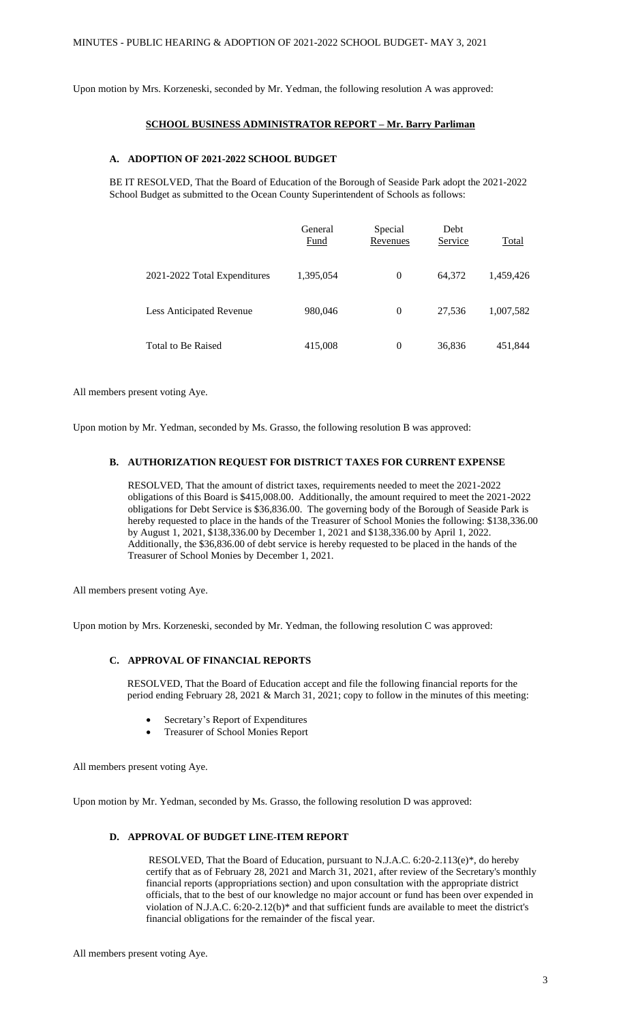Upon motion by Mrs. Korzeneski, seconded by Mr. Yedman, the following resolution A was approved:

# **SCHOOL BUSINESS ADMINISTRATOR REPORT – Mr. Barry Parliman**

### **A. ADOPTION OF 2021-2022 SCHOOL BUDGET**

BE IT RESOLVED, That the Board of Education of the Borough of Seaside Park adopt the 2021-2022 School Budget as submitted to the Ocean County Superintendent of Schools as follows:

|                              | General<br>Fund | Special<br>Revenues | Debt<br>Service | Total     |
|------------------------------|-----------------|---------------------|-----------------|-----------|
| 2021-2022 Total Expenditures | 1,395,054       | $\theta$            | 64,372          | 1,459,426 |
| Less Anticipated Revenue     | 980,046         | $\theta$            | 27.536          | 1,007,582 |
| Total to Be Raised           | 415,008         | 0                   | 36,836          | 451,844   |

All members present voting Aye.

Upon motion by Mr. Yedman, seconded by Ms. Grasso, the following resolution B was approved:

## **B. AUTHORIZATION REQUEST FOR DISTRICT TAXES FOR CURRENT EXPENSE**

RESOLVED, That the amount of district taxes, requirements needed to meet the 2021-2022 obligations of this Board is \$415,008.00. Additionally, the amount required to meet the 2021-2022 obligations for Debt Service is \$36,836.00. The governing body of the Borough of Seaside Park is hereby requested to place in the hands of the Treasurer of School Monies the following: \$138,336.00 by August 1, 2021, \$138,336.00 by December 1, 2021 and \$138,336.00 by April 1, 2022. Additionally, the \$36,836.00 of debt service is hereby requested to be placed in the hands of the Treasurer of School Monies by December 1, 2021.

All members present voting Aye.

Upon motion by Mrs. Korzeneski, seconded by Mr. Yedman, the following resolution C was approved:

## **C. APPROVAL OF FINANCIAL REPORTS**

RESOLVED, That the Board of Education accept and file the following financial reports for the period ending February 28, 2021 & March 31, 2021; copy to follow in the minutes of this meeting:

- Secretary's Report of Expenditures
- Treasurer of School Monies Report

All members present voting Aye.

Upon motion by Mr. Yedman, seconded by Ms. Grasso, the following resolution D was approved:

# **D. APPROVAL OF BUDGET LINE-ITEM REPORT**

RESOLVED, That the Board of Education, pursuant to N.J.A.C. 6:20-2.113(e)\*, do hereby certify that as of February 28, 2021 and March 31, 2021, after review of the Secretary's monthly financial reports (appropriations section) and upon consultation with the appropriate district officials, that to the best of our knowledge no major account or fund has been over expended in violation of N.J.A.C. 6:20-2.12(b)\* and that sufficient funds are available to meet the district's financial obligations for the remainder of the fiscal year.